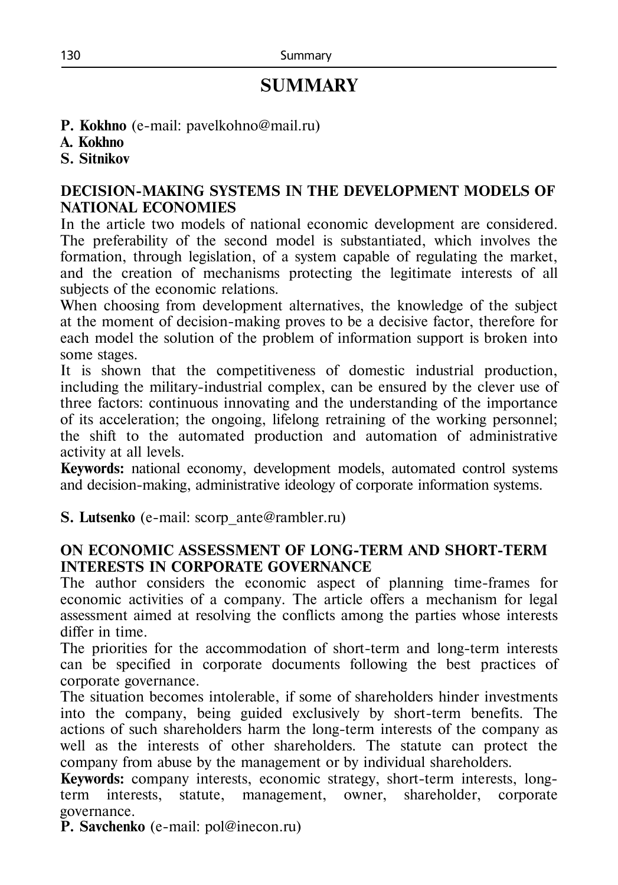# **SUMMARY**

- **P. Kokhno** (e-mail: pavelkohno@mail.ru)
- **A. Kokhno**
- **S. Sitnikov**

# **DECISION-MAKING SYSTEMS IN THE DEVELOPMENT MODELS OF NATIONAL ECONOMIES**

In the article two models of national economic development are considered. The preferability of the second model is substantiated, which involves the formation, through legislation, of a system capable of regulating the market, and the creation of mechanisms protecting the legitimate interests of all subjects of the economic relations.

When choosing from development alternatives, the knowledge of the subject at the moment of decision-making proves to be a decisive factor, therefore for each model the solution of the problem of information support is broken into some stages.

It is shown that the competitiveness of domestic industrial production, including the military-industrial complex, can be ensured by the clever use of three factors: continuous innovating and the understanding of the importance of its acceleration; the ongoing, lifelong retraining of the working personnel; the shift to the automated production and automation of administrative activity at all levels.

**Keywords:** national economy, development models, automated control systems and decision-making, administrative ideology of corporate information systems.

**S. Lutsenko** (е-mail: scorp\_ante@rambler.ru)

# **ON ECONOMIC ASSESSMENT OF LONG-TERM AND SHORT-TERM INTERESTS IN CORPORATE GOVERNANCE**

The author considers the economic aspect of planning time-frames for economic activities of a company. The article offers a mechanism for legal assessment aimed at resolving the conflicts among the parties whose interests differ in time.

The priorities for the accommodation of short-term and long-term interests can be specified in corporate documents following the best practices of corporate governance.

The situation becomes intolerable, if some of shareholders hinder investments into the company, being guided exclusively by short-term benefits. The actions of such shareholders harm the long-term interests of the company as well as the interests of other shareholders. The statute can protect the company from abuse by the management or by individual shareholders.

**Keywords:** company interests, economic strategy, short-term interests, longterm interests, statute, management, owner, shareholder, corporate governance.

**P. Savchenko** (e-mail: pol@inecon.ru)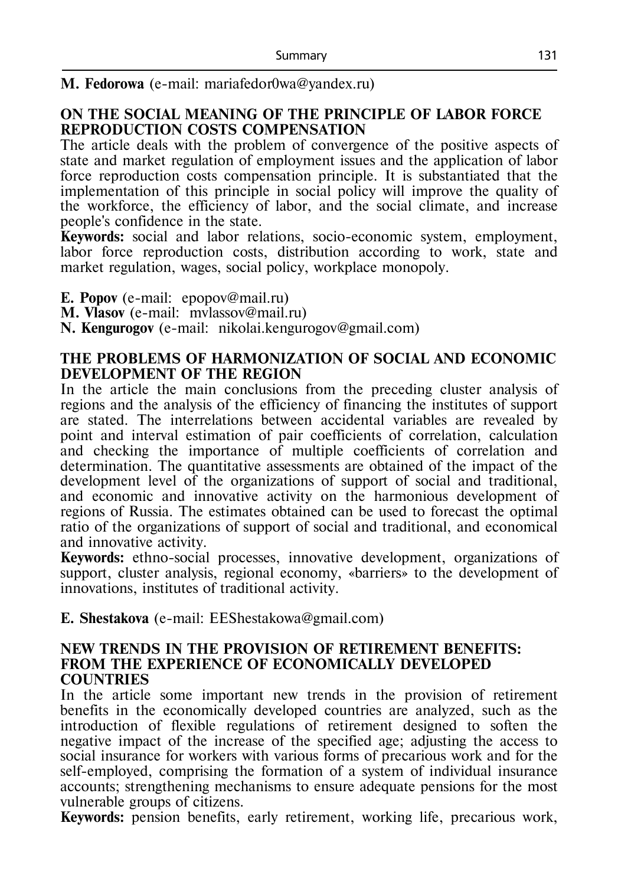#### **М. Fedorowa** (e-mail: mariafedor0wa@yandex.ru)

#### **ON THE SOCIAL MEANING OF THE PRINCIPLE OF LABOR FORCE REPRODUCTION COSTS COMPENSATION**

The article deals with the problem of convergence of the positive aspects of state and market regulation of employment issues and the application of labor force reproduction costs compensation principle. It is substantiated that the implementation of this principle in social policy will improve the quality of the workforce, the efficiency of labor, and the social climate, and increase people's confidence in the state.

**Keywords:** social and labor relations, socio-economic system, employment, labor force reproduction costs, distribution according to work, state and market regulation, wages, social policy, workplace monopoly.

**E. Popov** (e-mail: epopov@mail.ru)

**M. Vlasov** (e-mail: mvlassov@mail.ru)

**N. Kengurogov** (e-mail: nikolai.kengurogov@gmail.com)

#### **THE PROBLEMS OF HARMONIZATION OF SOCIAL AND ECONOMIC DEVELOPMENT OF THE REGION**

In the article the main conclusions from the preceding cluster analysis of regions and the analysis of the efficiency of financing the institutes of support are stated. The interrelations between accidental variables are revealed by point and interval estimation of pair coefficients of correlation, calculation and checking the importance of multiple coefficients of correlation and determination. The quantitative assessments are obtained of the impact of the development level of the organizations of support of social and traditional, and economic and innovative activity on the harmonious development of regions of Russia. The estimates obtained can be used to forecast the optimal ratio of the organizations of support of social and traditional, and economical and innovative activity.

**Keywords:** ethno-social processes, innovative development, organizations of support, cluster analysis, regional economy, «barriers» to the development of innovations, institutes of traditional activity.

**E. Shestakova** (e-mail: EEShestakowa@gmail.com)

#### **NEW TRENDS IN THE PROVISION OF RETIREMENT BENEFITS: FROM THE EXPERIENCE OF ECONOMICALLY DEVELOPED COUNTRIES**

In the article some important new trends in the provision of retirement benefits in the economically developed countries are analyzed, such as the introduction of flexible regulations of retirement designed to soften the negative impact of the increase of the specified age; adjusting the access to social insurance for workers with various forms of precarious work and for the self-employed, comprising the formation of a system of individual insurance accounts; strengthening mechanisms to ensure adequate pensions for the most vulnerable groups of citizens.

**Keywords:** pension benefits, early retirement, working life, precarious work,